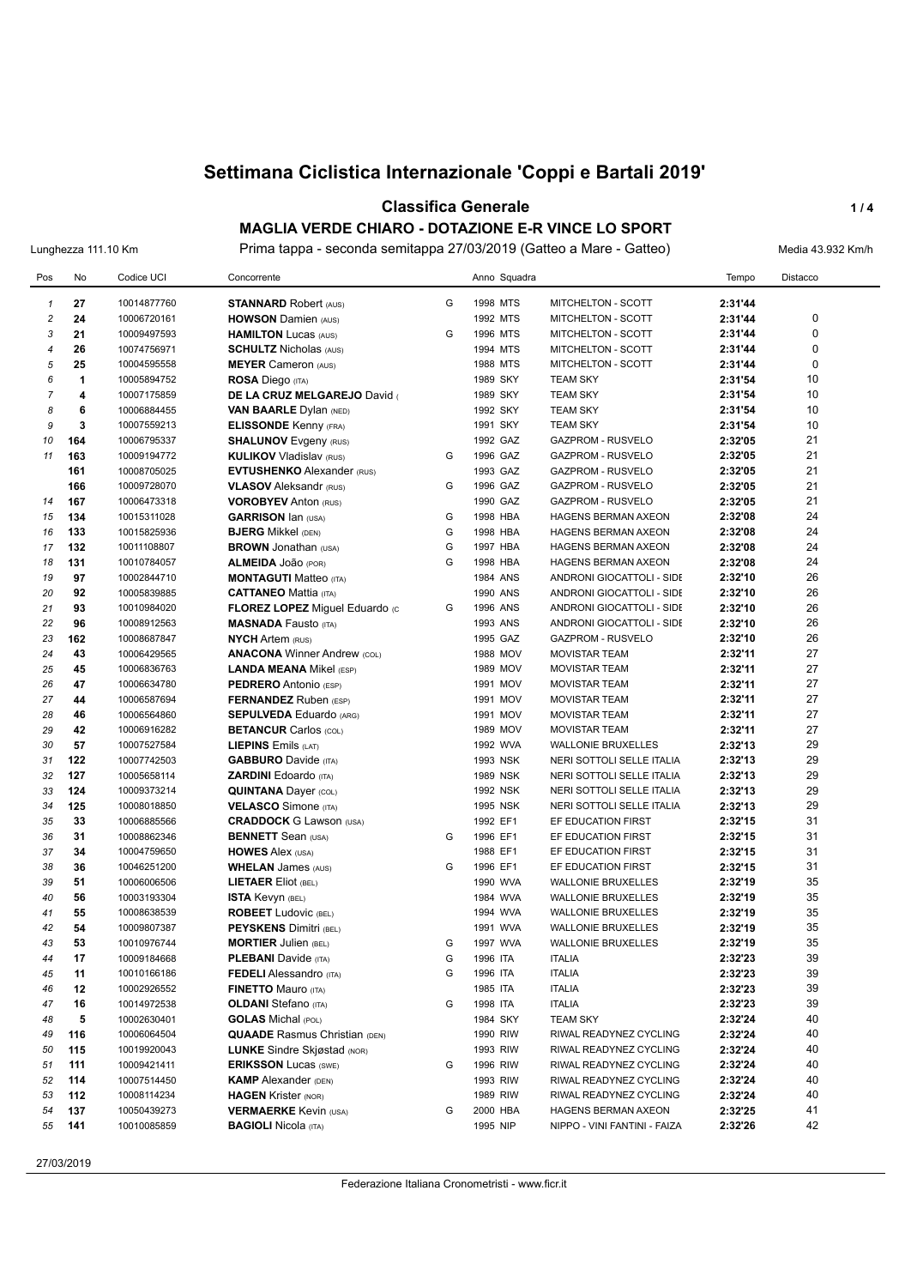#### **Classifica Generale 1/4**

**MAGLIA VERDE CHIARO - DOTAZIONE E-R VINCE LO SPORT** Lunghezza 111.10 Km Prima tappa - seconda semitappa 27/03/2019 (Gatteo a Mare - Gatteo) Media 43.932 Km/h

| Pos                     | No  | Codice UCI  | Concorrente                          |   |          | Anno Squadra |                              | Tempo   | Distacco    |
|-------------------------|-----|-------------|--------------------------------------|---|----------|--------------|------------------------------|---------|-------------|
| $\mathbf{1}$            | 27  | 10014877760 | <b>STANNARD Robert (AUS)</b>         | G | 1998 MTS |              | MITCHELTON - SCOTT           | 2:31'44 |             |
| $\overline{\mathbf{c}}$ | 24  | 10006720161 | <b>HOWSON Damien (AUS)</b>           |   | 1992 MTS |              | MITCHELTON - SCOTT           | 2:31'44 | 0           |
| 3                       | 21  | 10009497593 | <b>HAMILTON Lucas (AUS)</b>          | G | 1996 MTS |              | MITCHELTON - SCOTT           | 2:31'44 | 0           |
| 4                       | 26  | 10074756971 | <b>SCHULTZ Nicholas (AUS)</b>        |   | 1994 MTS |              | MITCHELTON - SCOTT           | 2:31'44 | $\mathbf 0$ |
| 5                       | 25  | 10004595558 | <b>MEYER Cameron (AUS)</b>           |   | 1988 MTS |              | MITCHELTON - SCOTT           | 2:31'44 | $\mathbf 0$ |
| 6                       | 1   | 10005894752 | <b>ROSA Diego (ITA)</b>              |   | 1989 SKY |              | <b>TEAM SKY</b>              | 2:31'54 | 10          |
| $\overline{7}$          | 4   | 10007175859 | DE LA CRUZ MELGAREJO David           |   | 1989 SKY |              | <b>TEAM SKY</b>              | 2:31'54 | 10          |
| 8                       | 6   | 10006884455 | <b>VAN BAARLE Dylan (NED)</b>        |   | 1992 SKY |              | <b>TEAM SKY</b>              | 2:31'54 | 10          |
| 9                       | 3   | 10007559213 | <b>ELISSONDE Kenny (FRA)</b>         |   | 1991 SKY |              | <b>TEAM SKY</b>              | 2:31'54 | 10          |
| 10                      | 164 | 10006795337 | <b>SHALUNOV Evgeny (RUS)</b>         |   | 1992 GAZ |              | GAZPROM - RUSVELO            | 2:32'05 | 21          |
| 11                      | 163 | 10009194772 | <b>KULIKOV Vladislav (RUS)</b>       | G | 1996 GAZ |              | GAZPROM - RUSVELO            | 2:32'05 | 21          |
|                         | 161 | 10008705025 | <b>EVTUSHENKO</b> Alexander (RUS)    |   | 1993 GAZ |              | <b>GAZPROM - RUSVELO</b>     | 2:32'05 | 21          |
|                         | 166 | 10009728070 | <b>VLASOV</b> Aleksandr (RUS)        | G | 1996 GAZ |              | <b>GAZPROM - RUSVELO</b>     | 2:32'05 | 21          |
| 14                      | 167 | 10006473318 | <b>VOROBYEV Anton (RUS)</b>          |   | 1990 GAZ |              | GAZPROM - RUSVELO            | 2:32'05 | 21          |
| 15                      | 134 | 10015311028 | <b>GARRISON Ian (USA)</b>            | G | 1998 HBA |              | <b>HAGENS BERMAN AXEON</b>   | 2:32'08 | 24          |
| 16                      | 133 | 10015825936 | <b>BJERG</b> Mikkel (DEN)            | G | 1998 HBA |              | HAGENS BERMAN AXEON          | 2:32'08 | 24          |
| 17                      | 132 | 10011108807 | <b>BROWN</b> Jonathan (USA)          | G | 1997 HBA |              | <b>HAGENS BERMAN AXEON</b>   | 2:32'08 | 24          |
| 18                      | 131 | 10010784057 | ALMEIDA JOãO (POR)                   | G | 1998 HBA |              | HAGENS BERMAN AXEON          | 2:32'08 | 24          |
| 19                      | 97  | 10002844710 | <b>MONTAGUTI Matteo (ITA)</b>        |   | 1984 ANS |              | ANDRONI GIOCATTOLI - SIDE    | 2:32'10 | 26          |
| 20                      | 92  | 10005839885 | <b>CATTANEO Mattia (ITA)</b>         |   | 1990 ANS |              | ANDRONI GIOCATTOLI - SIDE    | 2:32'10 | 26          |
| 21                      | 93  | 10010984020 | FLOREZ LOPEZ Miguel Eduardo (c       | G | 1996 ANS |              | ANDRONI GIOCATTOLI - SIDE    | 2:32'10 | 26          |
| 22                      | 96  | 10008912563 | <b>MASNADA Fausto (ITA)</b>          |   | 1993 ANS |              | ANDRONI GIOCATTOLI - SIDE    | 2:32'10 | 26          |
| 23                      | 162 | 10008687847 | <b>NYCH Artem (RUS)</b>              |   | 1995 GAZ |              | <b>GAZPROM - RUSVELO</b>     | 2:32'10 | 26          |
| 24                      | 43  | 10006429565 | <b>ANACONA Winner Andrew (COL)</b>   |   |          | 1988 MOV     | <b>MOVISTAR TEAM</b>         | 2:32'11 | 27          |
| 25                      | 45  | 10006836763 | <b>LANDA MEANA Mikel (ESP)</b>       |   |          | 1989 MOV     | <b>MOVISTAR TEAM</b>         | 2:32'11 | 27          |
| 26                      | 47  | 10006634780 | <b>PEDRERO</b> Antonio (ESP)         |   |          | 1991 MOV     | <b>MOVISTAR TEAM</b>         | 2:32'11 | 27          |
| 27                      | 44  | 10006587694 | <b>FERNANDEZ</b> Ruben (ESP)         |   |          | 1991 MOV     | <b>MOVISTAR TEAM</b>         | 2:32'11 | 27          |
| 28                      | 46  | 10006564860 | <b>SEPULVEDA Eduardo (ARG)</b>       |   |          | 1991 MOV     | <b>MOVISTAR TEAM</b>         | 2:32'11 | 27          |
| 29                      | 42  | 10006916282 | <b>BETANCUR Carlos (COL)</b>         |   |          | 1989 MOV     | <b>MOVISTAR TEAM</b>         | 2:32'11 | 27          |
| 30                      | 57  | 10007527584 | <b>LIEPINS</b> Emils $(LAT)$         |   | 1992 WVA |              | <b>WALLONIE BRUXELLES</b>    | 2:32'13 | 29          |
| 31                      | 122 | 10007742503 | <b>GABBURO</b> Davide (ITA)          |   | 1993 NSK |              | NERI SOTTOLI SELLE ITALIA    | 2:32'13 | 29          |
| 32                      | 127 | 10005658114 | <b>ZARDINI</b> Edoardo (ITA)         |   | 1989 NSK |              | NERI SOTTOLI SELLE ITALIA    | 2:32'13 | 29          |
| 33                      | 124 | 10009373214 | <b>QUINTANA Dayer (COL)</b>          |   | 1992 NSK |              | NERI SOTTOLI SELLE ITALIA    | 2:32'13 | 29          |
| 34                      | 125 | 10008018850 | <b>VELASCO</b> Simone (ITA)          |   | 1995 NSK |              | NERI SOTTOLI SELLE ITALIA    | 2:32'13 | 29          |
| 35                      | 33  | 10006885566 | <b>CRADDOCK G Lawson (USA)</b>       |   | 1992 EF1 |              | EF EDUCATION FIRST           | 2:32'15 | 31          |
| 36                      | 31  | 10008862346 | <b>BENNETT</b> Sean (USA)            | G | 1996 EF1 |              | EF EDUCATION FIRST           | 2:32'15 | 31          |
| 37                      | 34  | 10004759650 | <b>HOWES Alex (USA)</b>              |   | 1988 EF1 |              | EF EDUCATION FIRST           | 2:32'15 | 31          |
| 38                      | 36  | 10046251200 | <b>WHELAN</b> James (AUS)            | G | 1996 EF1 |              | EF EDUCATION FIRST           | 2:32'15 | 31          |
| 39                      | 51  | 10006006506 | <b>LIETAER Eliot (BEL)</b>           |   | 1990 WVA |              | <b>WALLONIE BRUXELLES</b>    | 2:32'19 | 35          |
| 40                      | 56  | 10003193304 | <b>ISTA Kevyn (BEL)</b>              |   | 1984 WVA |              | <b>WALLONIE BRUXELLES</b>    | 2:32'19 | 35          |
| 41                      | 55  | 10008638539 | <b>ROBEET</b> Ludovic (BEL)          |   | 1994 WVA |              | <b>WALLONIE BRUXELLES</b>    | 2:32'19 | 35          |
| 42                      | 54  | 10009807387 | <b>PEYSKENS Dimitri (BEL)</b>        |   | 1991 WVA |              | <b>WALLONIE BRUXELLES</b>    | 2:32'19 | 35          |
| 43                      | 53  | 10010976744 | <b>MORTIER Julien (BEL)</b>          | G | 1997 WVA |              | <b>WALLONIE BRUXELLES</b>    | 2:32'19 | 35          |
| 44                      | 17  | 10009184668 | <b>PLEBANI</b> Davide (ITA)          | G | 1996 ITA |              | <b>ITALIA</b>                | 2:32'23 | 39          |
| 45                      | 11  | 10010166186 | <b>FEDELI</b> Alessandro (ITA)       | G | 1996 ITA |              | <b>ITALIA</b>                | 2:32'23 | 39          |
| 46                      | 12  | 10002926552 | <b>FINETTO Mauro (ITA)</b>           |   | 1985 ITA |              | <b>ITALIA</b>                | 2:32'23 | 39          |
| 47                      | 16  | 10014972538 | <b>OLDANI</b> Stefano (ITA)          | G | 1998 ITA |              | <b>ITALIA</b>                | 2:32'23 | 39          |
| 48                      | 5   | 10002630401 | <b>GOLAS</b> Michal (POL)            |   | 1984 SKY |              | <b>TEAM SKY</b>              | 2:32'24 | 40          |
| 49                      | 116 | 10006064504 | <b>QUAADE</b> Rasmus Christian (DEN) |   | 1990 RIW |              | RIWAL READYNEZ CYCLING       | 2:32'24 | 40          |
| 50                      | 115 | 10019920043 | <b>LUNKE</b> Sindre Skjøstad (NOR)   |   | 1993 RIW |              | RIWAL READYNEZ CYCLING       | 2:32'24 | 40          |
| 51                      | 111 | 10009421411 | <b>ERIKSSON Lucas (SWE)</b>          | G | 1996 RIW |              | RIWAL READYNEZ CYCLING       | 2:32'24 | 40          |
| 52                      | 114 | 10007514450 | <b>KAMP</b> Alexander (DEN)          |   | 1993 RIW |              | RIWAL READYNEZ CYCLING       | 2:32'24 | 40          |
| 53                      | 112 | 10008114234 | <b>HAGEN Krister (NOR)</b>           |   | 1989 RIW |              | RIWAL READYNEZ CYCLING       | 2:32'24 | 40          |
| 54                      | 137 | 10050439273 | <b>VERMAERKE Kevin (USA)</b>         | G | 2000 HBA |              | HAGENS BERMAN AXEON          | 2:32'25 | 41          |
| 55                      | 141 | 10010085859 | <b>BAGIOLI Nicola (ITA)</b>          |   | 1995 NIP |              | NIPPO - VINI FANTINI - FAIZA | 2:32'26 | 42          |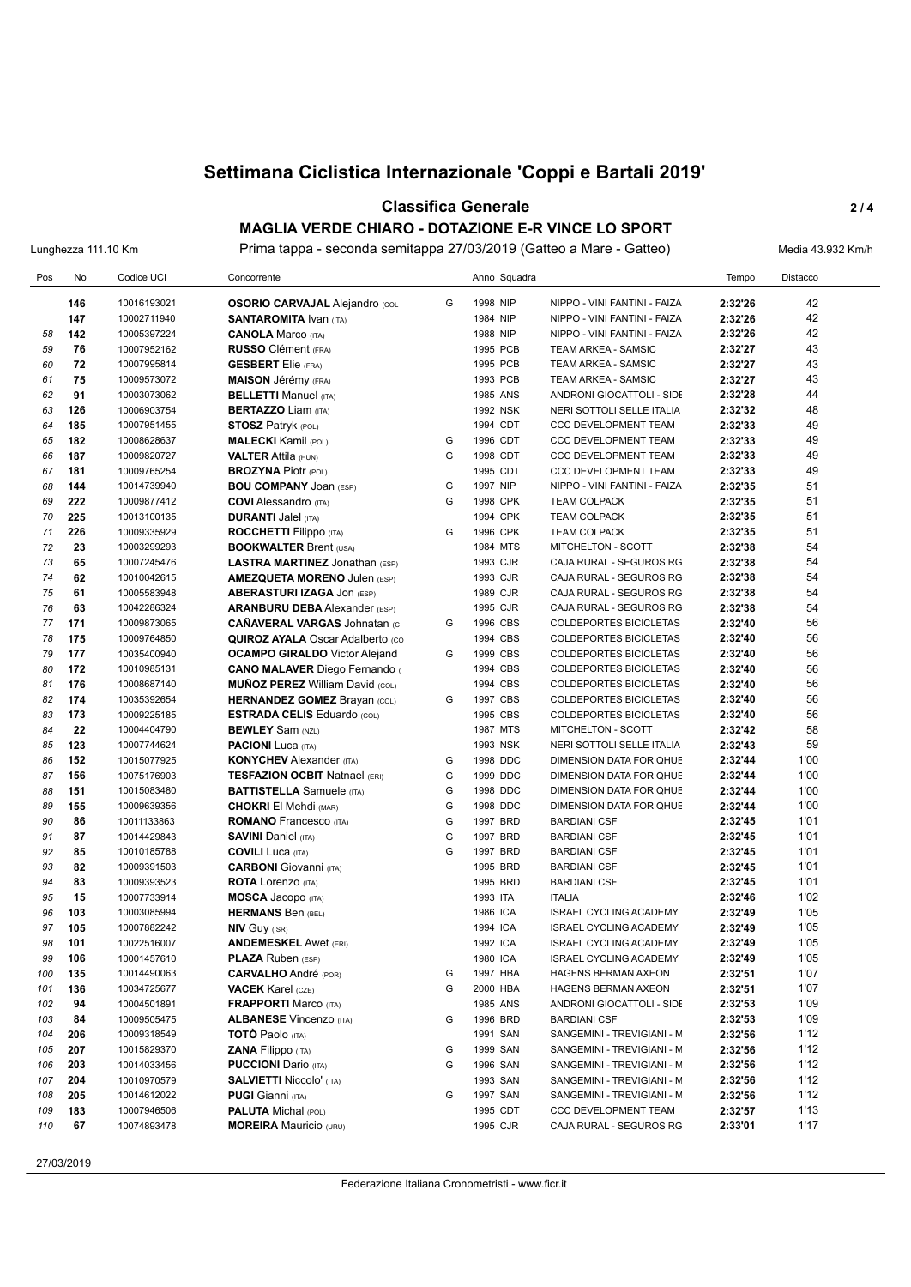#### **Classifica Generale 2 / 4**

**MAGLIA VERDE CHIARO - DOTAZIONE E-R VINCE LO SPORT** Lunghezza 111.10 Km Prima tappa - seconda semitappa 27/03/2019 (Gatteo a Mare - Gatteo) Media 43.932 Km/h

| Pos      | No         | Codice UCI                 | Concorrente                                                             |   | Anno Squadra         |                                                    | Tempo              | Distacco     |
|----------|------------|----------------------------|-------------------------------------------------------------------------|---|----------------------|----------------------------------------------------|--------------------|--------------|
|          | 146        | 10016193021                | <b>OSORIO CARVAJAL Alejandro (COL</b>                                   | G | 1998 NIP             | NIPPO - VINI FANTINI - FAIZA                       | 2:32'26            | 42           |
|          | 147        | 10002711940                | <b>SANTAROMITA IVAN (ITA)</b>                                           |   | 1984 NIP             | NIPPO - VINI FANTINI - FAIZA                       | 2:32'26            | 42           |
| 58       | 142        | 10005397224                | <b>CANOLA Marco (ITA)</b>                                               |   | 1988 NIP             | NIPPO - VINI FANTINI - FAIZA                       | 2:32'26            | 42           |
| 59       | 76         | 10007952162                | <b>RUSSO</b> Clément (FRA)                                              |   | 1995 PCB             | TEAM ARKEA - SAMSIC                                | 2:32'27            | 43           |
| 60       | 72         | 10007995814                | <b>GESBERT</b> Elie (FRA)                                               |   | 1995 PCB             | TEAM ARKEA - SAMSIC                                | 2:32'27            | 43           |
| 61       | 75         | 10009573072                | <b>MAISON Jérémy (FRA)</b>                                              |   | 1993 PCB             | TEAM ARKEA - SAMSIC                                | 2:32'27            | 43           |
| 62       | 91         | 10003073062                | <b>BELLETTI Manuel (ITA)</b>                                            |   | 1985 ANS             | ANDRONI GIOCATTOLI - SIDE                          | 2:32'28            | 44           |
| 63       | 126        | 10006903754                | <b>BERTAZZO Liam (ITA)</b>                                              |   | 1992 NSK             | NERI SOTTOLI SELLE ITALIA                          | 2:32'32            | 48           |
| 64       | 185        | 10007951455                | <b>STOSZ Patryk (POL)</b>                                               |   | 1994 CDT             | CCC DEVELOPMENT TEAM                               | 2:32'33            | 49           |
| 65       | 182        | 10008628637                | <b>MALECKI Kamil (POL)</b>                                              | G | 1996 CDT             | <b>CCC DEVELOPMENT TEAM</b>                        | 2:32'33            | 49           |
| 66       | 187        | 10009820727                | <b>VALTER Attila (HUN)</b>                                              | G | 1998 CDT             | <b>CCC DEVELOPMENT TEAM</b>                        | 2:32'33            | 49           |
| 67       | 181        | 10009765254                | <b>BROZYNA Piotr (POL)</b>                                              |   | 1995 CDT             | <b>CCC DEVELOPMENT TEAM</b>                        | 2:32'33            | 49           |
| 68       | 144        | 10014739940                | <b>BOU COMPANY JOAN (ESP)</b>                                           | G | 1997 NIP             | NIPPO - VINI FANTINI - FAIZA                       | 2:32'35            | 51           |
| 69       | 222        | 10009877412                | <b>COVI</b> Alessandro (ITA)                                            | G | 1998 CPK             | <b>TEAM COLPACK</b>                                | 2:32'35            | 51           |
| 70       | 225        | 10013100135                | <b>DURANTI Jalel (ITA)</b>                                              |   | 1994 CPK             | <b>TEAM COLPACK</b>                                | 2:32'35            | 51           |
| 71       | 226        | 10009335929                | <b>ROCCHETTI Filippo</b> (ITA)                                          | G | 1996 CPK             | <b>TEAM COLPACK</b>                                | 2:32'35            | 51           |
| 72       | 23         | 10003299293                | <b>BOOKWALTER Brent (USA)</b>                                           |   | 1984 MTS             | MITCHELTON - SCOTT                                 | 2:32'38            | 54           |
| 73       | 65         | 10007245476                | <b>LASTRA MARTINEZ Jonathan (ESP)</b>                                   |   | 1993 CJR             | CAJA RURAL - SEGUROS RG                            | 2:32'38            | 54           |
| 74       | 62         | 10010042615                | <b>AMEZQUETA MORENO Julen (ESP)</b>                                     |   | 1993 CJR             | CAJA RURAL - SEGUROS RG                            | 2:32'38            | 54           |
| 75       | 61         | 10005583948                | <b>ABERASTURI IZAGA JON (ESP)</b>                                       |   | 1989 CJR             | CAJA RURAL - SEGUROS RG                            | 2:32'38            | 54           |
| 76       | 63         | 10042286324                | <b>ARANBURU DEBA</b> Alexander (ESP)                                    |   | 1995 CJR             | CAJA RURAL - SEGUROS RG                            | 2:32'38            | 54           |
| 77       | 171        | 10009873065                | <b>CANAVERAL VARGAS Johnatan (c)</b>                                    | G | 1996 CBS             | <b>COLDEPORTES BICICLETAS</b>                      | 2:32'40            | 56           |
| 78       | 175        | 10009764850                | <b>QUIROZ AYALA Oscar Adalberto (CO)</b>                                |   | 1994 CBS             | <b>COLDEPORTES BICICLETAS</b>                      | 2:32'40            | 56           |
| 79       | 177        | 10035400940                | <b>OCAMPO GIRALDO</b> Victor Alejand                                    | G | 1999 CBS             | <b>COLDEPORTES BICICLETAS</b>                      | 2:32'40            | 56           |
| 80       | 172        | 10010985131                | <b>CANO MALAVER Diego Fernando (</b>                                    |   | 1994 CBS             | COLDEPORTES BICICLETAS                             | 2:32'40            | 56           |
| 81       | 176        | 10008687140                | <b>MUÑOZ PEREZ William David (COL)</b>                                  |   | 1994 CBS             | <b>COLDEPORTES BICICLETAS</b>                      | 2:32'40            | 56           |
| 82       | 174        | 10035392654                | <b>HERNANDEZ GOMEZ Brayan (COL)</b>                                     | G | 1997 CBS             | <b>COLDEPORTES BICICLETAS</b>                      | 2:32'40            | 56           |
| 83       | 173        | 10009225185                | <b>ESTRADA CELIS Eduardo (COL)</b>                                      |   | 1995 CBS             | <b>COLDEPORTES BICICLETAS</b>                      | 2:32'40            | 56           |
| 84       | 22         | 10004404790                | <b>BEWLEY</b> Sam (NZL)                                                 |   | 1987 MTS             | MITCHELTON - SCOTT                                 | 2:32'42            | 58           |
| 85       | 123        | 10007744624                | <b>PACIONI</b> Luca (ITA)                                               | G | 1993 NSK             | NERI SOTTOLI SELLE ITALIA                          | 2:32'43            | 59           |
| 86<br>87 | 152<br>156 | 10015077925<br>10075176903 | <b>KONYCHEV</b> Alexander (ITA)<br><b>TESFAZION OCBIT Natnael (ERI)</b> | G | 1998 DDC<br>1999 DDC | DIMENSION DATA FOR QHUE<br>DIMENSION DATA FOR QHUE | 2:32'44<br>2:32'44 | 1'00<br>1'00 |
| 88       | 151        | 10015083480                | <b>BATTISTELLA</b> Samuele (ITA)                                        | G | 1998 DDC             | DIMENSION DATA FOR QHUE                            | 2:32'44            | 1'00         |
| 89       | 155        | 10009639356                | <b>CHOKRI</b> El Mehdi (MAR)                                            | G | 1998 DDC             | DIMENSION DATA FOR QHUE                            | 2:32'44            | 1'00         |
| 90       | 86         | 10011133863                | <b>ROMANO</b> Francesco (ITA)                                           | G | 1997 BRD             | <b>BARDIANI CSF</b>                                | 2:32'45            | 1'01         |
| 91       | 87         | 10014429843                | <b>SAVINI Daniel (ITA)</b>                                              | G | 1997 BRD             | <b>BARDIANI CSF</b>                                | 2:32'45            | 1'01         |
| 92       | 85         | 10010185788                | <b>COVILI Luca</b> (ITA)                                                | G | 1997 BRD             | <b>BARDIANI CSF</b>                                | 2:32'45            | 1'01         |
| 93       | 82         | 10009391503                | <b>CARBONI</b> Giovanni (ITA)                                           |   | 1995 BRD             | <b>BARDIANI CSF</b>                                | 2:32'45            | 1'01         |
| 94       | 83         | 10009393523                | <b>ROTA</b> Lorenzo (ITA)                                               |   | 1995 BRD             | <b>BARDIANI CSF</b>                                | 2:32'45            | 1'01         |
| 95       | 15         | 10007733914                | <b>MOSCA Jacopo</b> (ITA)                                               |   | 1993 ITA             | <b>ITALIA</b>                                      | 2:32'46            | 1'02         |
| 96       | 103        | 10003085994                | <b>HERMANS Ben (BEL)</b>                                                |   | 1986 ICA             | <b>ISRAEL CYCLING ACADEMY</b>                      | 2:32'49            | 1'05         |
| 97       | 105        | 10007882242                | <b>NIV GUY (ISR)</b>                                                    |   | 1994 ICA             | <b>ISRAEL CYCLING ACADEMY</b>                      | 2:32'49            | 1'05         |
| 98       | 101        | 10022516007                | <b>ANDEMESKEL Awet (ERI)</b>                                            |   | 1992 ICA             | <b>ISRAEL CYCLING ACADEMY</b>                      | 2:32'49            | 1'05         |
| 99       | 106        | 10001457610                | <b>PLAZA</b> Ruben (ESP)                                                |   | 1980 ICA             | ISRAEL CYCLING ACADEMY                             | 2:32'49            | 1'05         |
| 100      | 135        | 10014490063                | <b>CARVALHO</b> André (POR)                                             | G | 1997 HBA             | HAGENS BERMAN AXEON                                | 2:32'51            | 1'07         |
| 101      | 136        | 10034725677                | <b>VACEK Karel (CZE)</b>                                                | G | 2000 HBA             | HAGENS BERMAN AXEON                                | 2:32'51            | 1'07         |
| 102      | 94         | 10004501891                | <b>FRAPPORTI Marco (ITA)</b>                                            |   | 1985 ANS             | ANDRONI GIOCATTOLI - SIDE                          | 2:32'53            | 1'09         |
| 103      | 84         | 10009505475                | <b>ALBANESE Vincenzo (ITA)</b>                                          | G | 1996 BRD             | <b>BARDIANI CSF</b>                                | 2:32'53            | 1'09         |
| 104      | 206        | 10009318549                | <b>TOTO Paolo</b> (ITA)                                                 |   | 1991 SAN             | SANGEMINI - TREVIGIANI - M                         | 2:32'56            | 1'12         |
| 105      | 207        | 10015829370                | ZANA Filippo (ITA)                                                      | G | 1999 SAN             | SANGEMINI - TREVIGIANI - M                         | 2:32'56            | 1'12         |
| 106      | 203        | 10014033456                | <b>PUCCIONI</b> Dario (ITA)                                             | G | 1996 SAN             | SANGEMINI - TREVIGIANI - M                         | 2:32'56            | 1'12         |
| 107      | 204        | 10010970579                | <b>SALVIETTI Niccolo' (ITA)</b>                                         |   | 1993 SAN             | SANGEMINI - TREVIGIANI - M                         | 2:32'56            | 1'12         |
| 108      | 205        | 10014612022                | <b>PUGI</b> Gianni (ITA)                                                | G | 1997 SAN             | SANGEMINI - TREVIGIANI - M                         | 2:32'56            | 1'12         |
| 109      | 183        | 10007946506                | <b>PALUTA Michal (POL)</b>                                              |   | 1995 CDT             | CCC DEVELOPMENT TEAM                               | 2:32'57            | 1'13         |
| 110      | 67         | 10074893478                | <b>MOREIRA</b> Mauricio (URU)                                           |   | 1995 CJR             | CAJA RURAL - SEGUROS RG                            | 2:33'01            | 1'17         |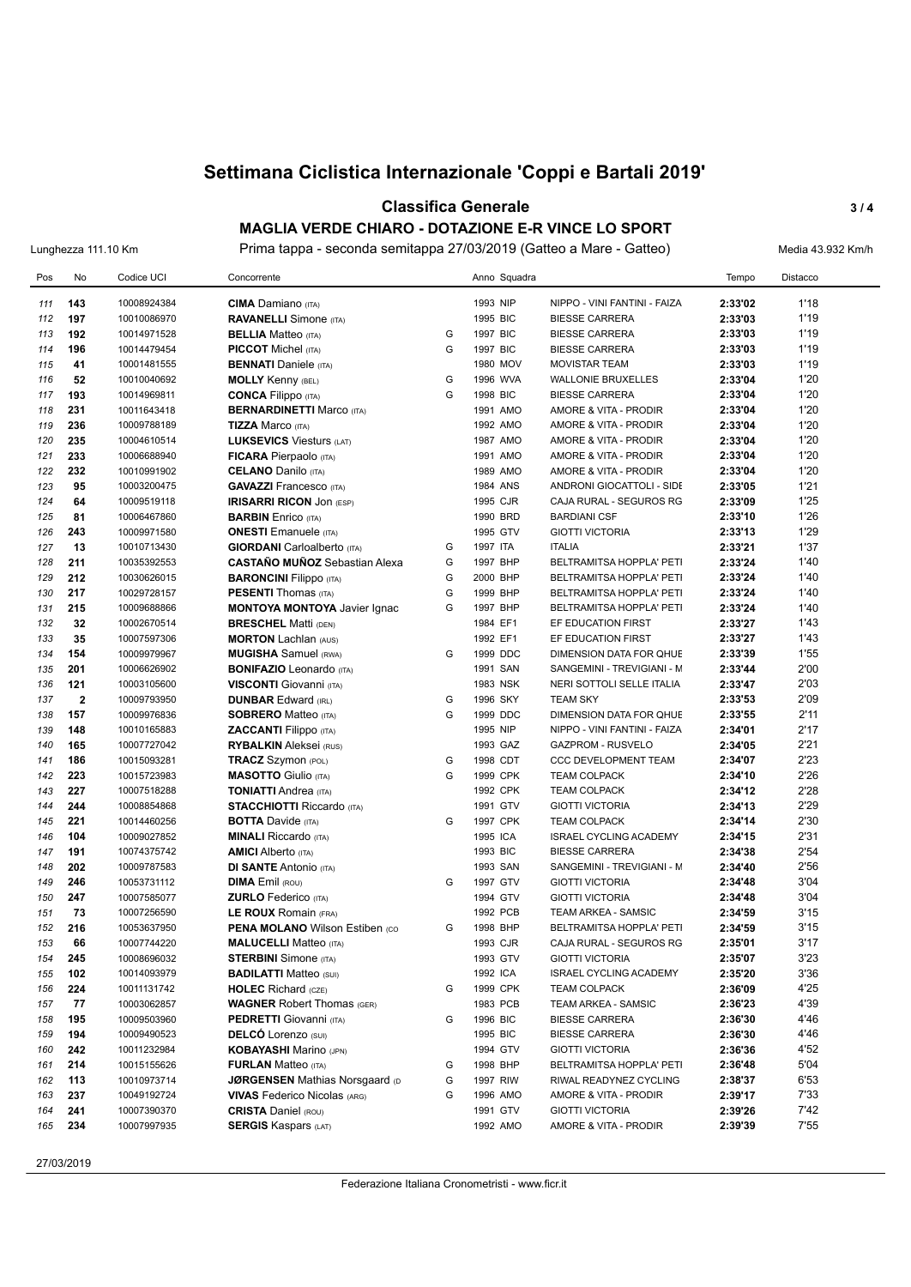#### **Classifica Generale 3 / 4**

**MAGLIA VERDE CHIARO - DOTAZIONE E-R VINCE LO SPORT** Lunghezza 111.10 Km Prima tappa - seconda semitappa 27/03/2019 (Gatteo a Mare - Gatteo) Media 43.932 Km/h

| Pos        | No                      | Codice UCI                 | Concorrente                                                  |   | Anno Squadra         |                                                 | Tempo              | Distacco     |
|------------|-------------------------|----------------------------|--------------------------------------------------------------|---|----------------------|-------------------------------------------------|--------------------|--------------|
| 111        | 143                     | 10008924384                | <b>CIMA</b> Damiano (ITA)                                    |   | 1993 NIP             | NIPPO - VINI FANTINI - FAIZA                    | 2:33'02            | 1'18         |
| 112        | 197                     | 10010086970                | <b>RAVANELLI</b> Simone (ITA)                                |   | 1995 BIC             | <b>BIESSE CARRERA</b>                           | 2:33'03            | 1'19         |
| 113        | 192                     | 10014971528                | <b>BELLIA</b> Matteo (ITA)                                   | G | 1997 BIC             | <b>BIESSE CARRERA</b>                           | 2:33'03            | 1'19         |
| 114        | 196                     | 10014479454                | <b>PICCOT</b> Michel (ITA)                                   | G | 1997 BIC             | <b>BIESSE CARRERA</b>                           | 2:33'03            | 1'19         |
| 115        | 41                      | 10001481555                | <b>BENNATI</b> Daniele (ITA)                                 |   | 1980 MOV             | <b>MOVISTAR TEAM</b>                            | 2:33'03            | 1'19         |
| 116        | 52                      | 10010040692                | <b>MOLLY Kenny (BEL)</b>                                     | G | 1996 WVA             | <b>WALLONIE BRUXELLES</b>                       | 2:33'04            | 1'20         |
| 117        | 193                     | 10014969811                | <b>CONCA Filippo</b> (ITA)                                   | G | 1998 BIC             | <b>BIESSE CARRERA</b>                           | 2:33'04            | 1'20         |
| 118        | 231                     | 10011643418                | <b>BERNARDINETTI Marco (ITA)</b>                             |   | 1991 AMO             | AMORE & VITA - PRODIR                           | 2:33'04            | 1'20         |
| 119        | 236                     | 10009788189                | <b>TIZZA Marco (ITA)</b>                                     |   | 1992 AMO             | AMORE & VITA - PRODIR                           | 2:33'04            | 1'20         |
| 120        | 235                     | 10004610514                | <b>LUKSEVICS Viesturs (LAT)</b>                              |   | 1987 AMO             | AMORE & VITA - PRODIR                           | 2:33'04            | 1'20         |
| 121        | 233                     | 10006688940                | <b>FICARA</b> Pierpaolo (ITA)                                |   | 1991 AMO             | AMORE & VITA - PRODIR                           | 2:33'04            | 1'20         |
| 122        | 232                     | 10010991902                | <b>CELANO</b> Danilo (ITA)                                   |   | 1989 AMO             | AMORE & VITA - PRODIR                           | 2:33'04            | 1'20         |
| 123        | 95                      | 10003200475                | <b>GAVAZZI Francesco</b> (ITA)                               |   | 1984 ANS             | ANDRONI GIOCATTOLI - SIDE                       | 2:33'05            | 1'21         |
| 124        | 64                      | 10009519118                | <b>IRISARRI RICON JON (ESP)</b>                              |   | 1995 CJR             | CAJA RURAL - SEGUROS RG                         | 2:33'09            | 1'25         |
| 125        | 81                      | 10006467860                | <b>BARBIN</b> Enrico (ITA)                                   |   | 1990 BRD             | <b>BARDIANI CSF</b>                             | 2:33'10            | 1'26         |
| 126        | 243                     | 10009971580                | <b>ONESTI</b> Emanuele (ITA)                                 |   | 1995 GTV             | <b>GIOTTI VICTORIA</b>                          | 2:33'13            | 1'29         |
| 127        | 13                      | 10010713430                | <b>GIORDANI</b> Carloalberto (ITA)                           | G | 1997 ITA             | <b>ITALIA</b>                                   | 2:33'21            | 1'37         |
| 128        | 211                     | 10035392553                | <b>CASTAÑO MUÑOZ</b> Sebastian Alexa                         | G | 1997 BHP             | BELTRAMITSA HOPPLA' PETI                        | 2:33'24            | 1'40         |
| 129        | 212                     | 10030626015                | <b>BARONCINI Filippo</b> (ITA)                               | G | 2000 BHP             | BELTRAMITSA HOPPLA' PETI                        | 2:33'24            | 1'40         |
| 130        | 217                     | 10029728157                | <b>PESENTI</b> Thomas (ITA)                                  | G | 1999 BHP             | BELTRAMITSA HOPPLA' PETI                        | 2:33'24            | 1'40         |
| 131        | 215                     | 10009688866                | <b>MONTOYA MONTOYA Javier Ignac</b>                          | G | 1997 BHP             | BELTRAMITSA HOPPLA' PETI                        | 2:33'24            | 1'40         |
| 132        | 32                      | 10002670514                | <b>BRESCHEL Matti (DEN)</b>                                  |   | 1984 EF1             | EF EDUCATION FIRST                              | 2:33'27            | 1'43         |
| 133        | 35                      | 10007597306                | <b>MORTON Lachlan (AUS)</b>                                  |   | 1992 EF1             | EF EDUCATION FIRST                              | 2:33'27            | 1'43         |
| 134        | 154                     | 10009979967                | <b>MUGISHA</b> Samuel (RWA)                                  | G | 1999 DDC             | <b>DIMENSION DATA FOR QHUE</b>                  | 2:33'39            | 1'55         |
| 135        | 201                     | 10006626902                | <b>BONIFAZIO</b> Leonardo (ITA)                              |   | 1991 SAN             | SANGEMINI - TREVIGIANI - M                      | 2:33'44            | 2'00         |
| 136        | 121                     | 10003105600                | <b>VISCONTI</b> Giovanni (ITA)                               |   | 1983 NSK             | NERI SOTTOLI SELLE ITALIA                       | 2:33'47            | 2'03         |
| 137        | $\overline{\mathbf{2}}$ | 10009793950                | <b>DUNBAR Edward (IRL)</b>                                   | G | 1996 SKY             | <b>TEAM SKY</b>                                 | 2:33'53            | 2'09         |
| 138        | 157                     | 10009976836                | <b>SOBRERO Matteo (ITA)</b>                                  | G | 1999 DDC             | DIMENSION DATA FOR QHUE                         | 2:33'55            | 2'11         |
| 139        | 148                     | 10010165883                | <b>ZACCANTI</b> Filippo (ITA)                                |   | 1995 NIP             | NIPPO - VINI FANTINI - FAIZA                    | 2:34'01            | 2'17         |
| 140        | 165                     | 10007727042                | <b>RYBALKIN</b> Aleksei (RUS)                                |   | 1993 GAZ             | GAZPROM - RUSVELO                               | 2:34'05            | 2'21         |
| 141        | 186                     | 10015093281                | TRACZ Szymon (POL)                                           | G | 1998 CDT             | <b>CCC DEVELOPMENT TEAM</b>                     | 2:34'07            | 2'23         |
| 142        | 223                     | 10015723983                | <b>MASOTTO</b> Giulio (ITA)                                  | G | 1999 CPK             | <b>TEAM COLPACK</b>                             | 2:34'10            | 2'26         |
| 143        | 227                     | 10007518288                | <b>TONIATTI Andrea (ITA)</b>                                 |   | 1992 CPK             | <b>TEAM COLPACK</b>                             | 2:34'12            | 2'28         |
| 144        | 244                     | 10008854868                | <b>STACCHIOTTI Riccardo (ITA)</b>                            |   | 1991 GTV             | <b>GIOTTI VICTORIA</b>                          | 2:34'13            | 2'29         |
| 145        | 221                     | 10014460256                | <b>BOTTA Davide (ITA)</b>                                    | G | 1997 CPK             | <b>TEAM COLPACK</b>                             | 2:34'14            | 2'30         |
| 146        | 104                     | 10009027852                | <b>MINALI</b> Riccardo (ITA)                                 |   | 1995 ICA             | <b>ISRAEL CYCLING ACADEMY</b>                   | 2:34'15            | 2'31         |
| 147        | 191                     | 10074375742                | <b>AMICI</b> Alberto (ITA)                                   |   | 1993 BIC             | <b>BIESSE CARRERA</b>                           | 2:34'38            | 2'54         |
| 148        | 202                     | 10009787583                | <b>DI SANTE Antonio (ITA)</b>                                |   | 1993 SAN             | SANGEMINI - TREVIGIANI - M                      | 2:34'40            | 2'56         |
| 149        | 246                     | 10053731112                | <b>DIMA</b> Emil (ROU)                                       | G | 1997 GTV             | <b>GIOTTI VICTORIA</b>                          | 2:34'48            | 3'04         |
| 150        | 247                     | 10007585077                | <b>ZURLO</b> Federico (ITA)                                  |   | 1994 GTV             | <b>GIOTTI VICTORIA</b>                          | 2:34'48            | 3'04         |
| 151        | 73                      | 10007256590                | <b>LE ROUX Romain (FRA)</b>                                  |   | 1992 PCB             | TEAM ARKEA - SAMSIC                             | 2:34'59            | 3'15         |
| 152        | 216                     | 10053637950                | <b>PENA MOLANO Wilson Estiben (CO)</b>                       | G | 1998 BHP             | BELTRAMITSA HOPPLA' PETI                        | 2:34'59            | 3'15         |
| 153        | 66                      | 10007744220                | <b>MALUCELLI</b> Matteo (ITA)                                |   | 1993 CJR             | CAJA RURAL - SEGUROS RG                         | 2:35'01            | 3'17         |
| 154        | 245                     | 10008696032                | <b>STERBINI</b> Simone (ITA)                                 |   | 1993 GTV             | <b>GIOTTI VICTORIA</b>                          | 2:35'07            | 3'23         |
| 155        | 102                     | 10014093979                | <b>BADILATTI Matteo (SUI)</b>                                |   | 1992 ICA             | <b>ISRAEL CYCLING ACADEMY</b>                   | 2:35'20            | 3'36         |
| 156        | 224                     | 10011131742                | <b>HOLEC</b> Richard (CZE)                                   | G | 1999 CPK             | <b>TEAM COLPACK</b>                             | 2:36'09            | 4'25         |
| 157        | 77                      | 10003062857                | <b>WAGNER Robert Thomas (GER)</b>                            |   | 1983 PCB             | TEAM ARKEA - SAMSIC                             | 2:36'23            | 4'39         |
| 158        | 195                     | 10009503960                | <b>PEDRETTI</b> Giovanni (ITA)<br><b>DELCÓ</b> Lorenzo (SUI) | G | 1996 BIC<br>1995 BIC | <b>BIESSE CARRERA</b>                           | 2:36'30            | 4'46<br>4'46 |
| 159<br>160 | 194<br>242              | 10009490523<br>10011232984 | <b>KOBAYASHI Marino (JPN)</b>                                |   | 1994 GTV             | <b>BIESSE CARRERA</b><br><b>GIOTTI VICTORIA</b> | 2:36'30<br>2:36'36 | 4'52         |
| 161        | 214                     | 10015155626                | <b>FURLAN Matteo (ITA)</b>                                   | G | 1998 BHP             | BELTRAMITSA HOPPLA' PETI                        | 2:36'48            | 5'04         |
| 162        | 113                     | 10010973714                | <b>JØRGENSEN Mathias Norsgaard (D)</b>                       | G | 1997 RIW             | RIWAL READYNEZ CYCLING                          | 2:38'37            | 6'53         |
| 163        | 237                     | 10049192724                | <b>VIVAS</b> Federico Nicolas (ARG)                          | G | 1996 AMO             | AMORE & VITA - PRODIR                           | 2:39'17            | 7'33         |
| 164        | 241                     | 10007390370                | <b>CRISTA Daniel (ROU)</b>                                   |   | 1991 GTV             | <b>GIOTTI VICTORIA</b>                          | 2:39'26            | 7'42         |
| 165        | 234                     | 10007997935                | <b>SERGIS Kaspars (LAT)</b>                                  |   | 1992 AMO             | AMORE & VITA - PRODIR                           | 2:39'39            | 7'55         |
|            |                         |                            |                                                              |   |                      |                                                 |                    |              |